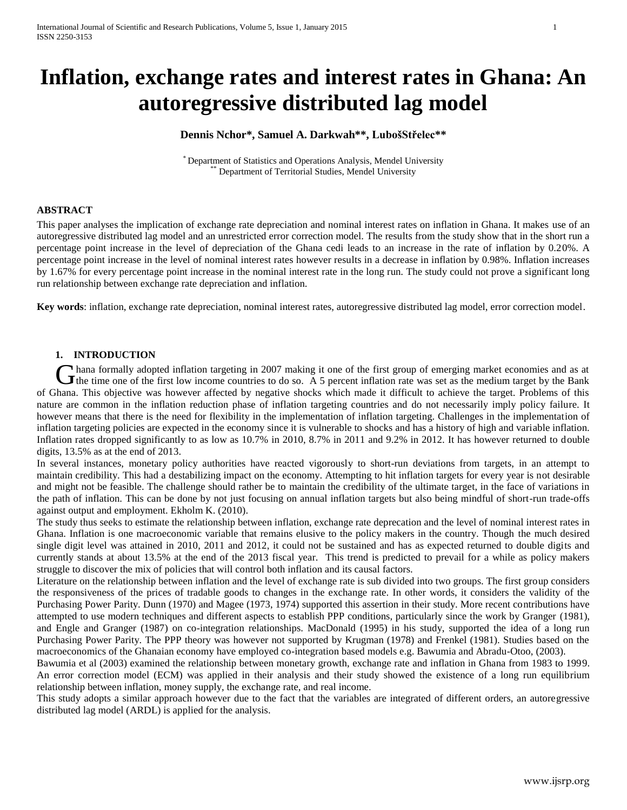# **Inflation, exchange rates and interest rates in Ghana: An autoregressive distributed lag model**

# **Dennis Nchor\*, Samuel A. Darkwah\*\*, LubošStřelec\*\***

\* Department of Statistics and Operations Analysis, Mendel University Department of Territorial Studies, Mendel University

## **ABSTRACT**

This paper analyses the implication of exchange rate depreciation and nominal interest rates on inflation in Ghana. It makes use of an autoregressive distributed lag model and an unrestricted error correction model. The results from the study show that in the short run a percentage point increase in the level of depreciation of the Ghana cedi leads to an increase in the rate of inflation by 0.20%. A percentage point increase in the level of nominal interest rates however results in a decrease in inflation by 0.98%. Inflation increases by 1.67% for every percentage point increase in the nominal interest rate in the long run. The study could not prove a significant long run relationship between exchange rate depreciation and inflation.

**Key words**: inflation, exchange rate depreciation, nominal interest rates, autoregressive distributed lag model, error correction model.

# **1. INTRODUCTION**

hana formally adopted inflation targeting in 2007 making it one of the first group of emerging market economies and as at Thana formally adopted inflation targeting in 2007 making it one of the first group of emerging market economies and as at the time one of the first low income countries to do so. A 5 percent inflation rate was set as the of Ghana. This objective was however affected by negative shocks which made it difficult to achieve the target. Problems of this nature are common in the inflation reduction phase of inflation targeting countries and do not necessarily imply policy failure. It however means that there is the need for flexibility in the implementation of inflation targeting. Challenges in the implementation of inflation targeting policies are expected in the economy since it is vulnerable to shocks and has a history of high and variable inflation. Inflation rates dropped significantly to as low as 10.7% in 2010, 8.7% in 2011 and 9.2% in 2012. It has however returned to double digits, 13.5% as at the end of 2013.

In several instances, monetary policy authorities have reacted vigorously to short-run deviations from targets, in an attempt to maintain credibility. This had a destabilizing impact on the economy. Attempting to hit inflation targets for every year is not desirable and might not be feasible. The challenge should rather be to maintain the credibility of the ultimate target, in the face of variations in the path of inflation. This can be done by not just focusing on annual inflation targets but also being mindful of short-run trade-offs against output and employment. Ekholm K. (2010).

The study thus seeks to estimate the relationship between inflation, exchange rate deprecation and the level of nominal interest rates in Ghana. Inflation is one macroeconomic variable that remains elusive to the policy makers in the country. Though the much desired single digit level was attained in 2010, 2011 and 2012, it could not be sustained and has as expected returned to double digits and currently stands at about 13.5% at the end of the 2013 fiscal year. This trend is predicted to prevail for a while as policy makers struggle to discover the mix of policies that will control both inflation and its causal factors.

Literature on the relationship between inflation and the level of exchange rate is sub divided into two groups. The first group considers the responsiveness of the prices of tradable goods to changes in the exchange rate. In other words, it considers the validity of the Purchasing Power Parity. Dunn (1970) and Magee (1973, 1974) supported this assertion in their study. More recent contributions have attempted to use modern techniques and different aspects to establish PPP conditions, particularly since the work by Granger (1981), and Engle and Granger (1987) on co-integration relationships. MacDonald (1995) in his study, supported the idea of a long run Purchasing Power Parity. The PPP theory was however not supported by Krugman (1978) and Frenkel (1981). Studies based on the macroeconomics of the Ghanaian economy have employed co-integration based models e.g. Bawumia and Abradu-Otoo, (2003).

Bawumia et al (2003) examined the relationship between monetary growth, exchange rate and inflation in Ghana from 1983 to 1999. An error correction model (ECM) was applied in their analysis and their study showed the existence of a long run equilibrium relationship between inflation, money supply, the exchange rate, and real income.

This study adopts a similar approach however due to the fact that the variables are integrated of different orders, an autoregressive distributed lag model (ARDL) is applied for the analysis.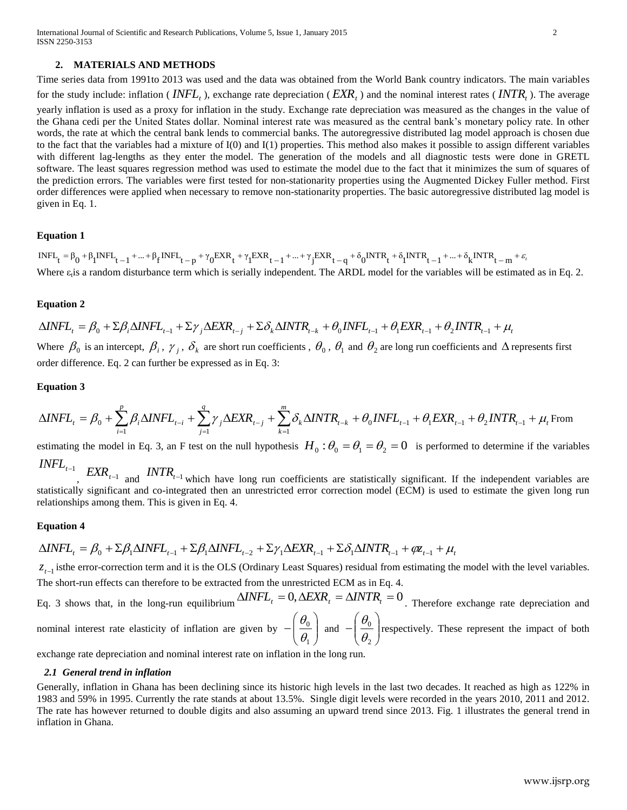## **2. MATERIALS AND METHODS**

Time series data from 1991to 2013 was used and the data was obtained from the World Bank country indicators. The main variables for the study include: inflation (*INFL<sub>t</sub>*), exchange rate depreciation (*EXR<sub>t</sub>*) and the nominal interest rates (*INTR<sub>t</sub>*). The average yearly inflation is used as a proxy for inflation in the study. Exchange rate depreciation was measured as the changes in the value of the Ghana cedi per the United States dollar. Nominal interest rate was measured as the central bank's monetary policy rate. In other words, the rate at which the central bank lends to commercial banks. The autoregressive distributed lag model approach is chosen due to the fact that the variables had a mixture of I(0) and I(1) properties. This method also makes it possible to assign different variables with different lag-lengths as they enter the model. The generation of the models and all diagnostic tests were done in GRETL software. The least squares regression method was used to estimate the model due to the fact that it minimizes the sum of squares of the prediction errors. The variables were first tested for non-stationarity properties using the Augmented Dickey Fuller method. First order differences were applied when necessary to remove non-stationarity properties. The basic autoregressive distributed lag model is given in Eq. 1.

#### **Equation 1**

 $INIF_{t} = \beta_{0} + \beta_{1}INFL_{t-1} + ... + \beta_{f}INFL_{t-p} + \gamma_{0}EXR_{t} + \gamma_{1}EXR_{t-1} + ... + \gamma_{j}EXR_{t-q} + \delta_{0}INTR_{t} + \delta_{1}INTR_{t-1} + ... + \delta_{k} INTR_{t-m} + \varepsilon_{n}$ Where  $\varepsilon_t$  is a random disturbance term which is serially independent. The ARDL model for the variables will be estimated as in Eq. 2.

#### **Equation 2**

 $\Delta$ *INFL*<sub>t</sub> =  $\beta_0$  +  $\Sigma \beta_i \Delta$ *INFL*<sub>t-1</sub> +  $\Sigma \gamma_j \Delta$ *EXR*<sub>t-j</sub> +  $\Sigma \delta_k \Delta$ *INTR*<sub>t-k</sub> +  $\theta_0$ *INFL*<sub>t-1</sub> +  $\theta_1$ *EXR*<sub>t-1</sub> +  $\theta_2$ *INTR*<sub>t-1</sub> +  $\mu$ Where  $\beta_0$  is an intercept,  $\beta_i$ ,  $\gamma_j$ ,  $\delta_k$  are short run coefficients,  $\theta_0$ ,  $\theta_1$  and  $\theta_2$  are long run coefficients and  $\Delta$  represents first order difference. Eq. 2 can further be expressed as in Eq. 3:

#### **Equation 3**

$$
\Delta INFL_{t}=\beta_0+\sum_{i=1}^{p}\beta_i\Delta INFL_{t-i}+\sum_{j=1}^{q}\gamma_j\Delta EXP_{t-j}+\sum_{k=1}^{m}\delta_k\Delta INTR_{t-k}+\theta_0INFL_{t-1}+\theta_1EXR_{t-1}+\theta_2INTR_{t-1}+\mu_t \operatorname{From}_{t-1}\sum_{j=1}^{q}\beta_j\Delta INFL_{t-j}+\sum_{j=1}^{q}\beta_j\Delta INFL_{t-j}+\sum_{j=1}^{q}\delta_j\Delta INTR_{t-j}+\theta_0\Delta INFL_{t-j}+\theta_0\Delta INFL_{t-j}+\theta_0\Delta INFL_{t-j}+\theta_0\Delta INFR_{t-j}+\theta_0\Delta INTR_{t-j}+\theta_0\Delta INTR_{t-j}+\theta_0\Delta INTR_{t-j}+\theta_0\Delta INTR_{t-j}+\theta_0\Delta INTR_{t-j}+\theta_0\Delta INTR_{t-j}+\theta_0\Delta INTR_{t-j}+\theta_0\Delta INTR_{t-j}+\theta_0\Delta INTR_{t-j}+\theta_0\Delta INTR_{t-j}+\theta_0\Delta INTR_{t-j}+\theta_0\Delta INTR_{t-j}+\theta_0\Delta INTR_{t-j}+\theta_0\Delta INTR_{t-j}+\theta_0\Delta INTR_{t-j}+\theta_0\Delta INTR_{t-j}+\theta_0\Delta INTR_{t-j}+\theta_0\Delta INTR_{t-j}+\theta_0\Delta INTR_{t-j}+\theta_0\Delta INTR_{t-j}+\theta_0\Delta INTR_{t-j}+\theta_0\Delta INTR_{t-j}+\theta_0\Delta INTR_{t-j}+\theta_0\Delta INTR_{t-j}+\theta_0\Delta INTR_{t-j}+\theta_0\Delta INTR_{t-j}+\theta_0\Delta INTR_{t-j}+\theta_0\Delta INTR_{t-j}+\theta_0\Delta INTR_{t-j}+\theta_0\Delta INTR_{t-j}+\theta_0\Delta INTR_{t-j}+\theta_0\Delta INTR_{t-j}+\theta_0\Delta INTR_{t-j}+\theta_0\Delta INTR_{t-j}+\theta_0\Delta INTR_{t-j}+\theta_0\Delta INTR_{t-j}+\theta_0\Delta INTR_{t-j}+\theta_0\Delta INTR_{t-j}+\theta_0\Delta INTR_{t-j}+\theta_0\Delta INTR_{t-j}+\theta_0\Delta INTR_{t-j}+\theta_0\Delta INTR_{t-j}+\theta_0\Delta INTR_{t-j}+\theta_0\Delta INTR_{t-j}+\theta_0\Delta INTR_{
$$

estimating the model in Eq. 3, an F test on the null hypothesis  $H_0: \theta_0 = \theta_1 = \theta_2 = 0$  is performed to determine if the variables  $\textit{INFL}_{t-1}$ 

 $EXR_{t-1}$  and  $\text{INTER}_{t-1}$  which have long run coefficients are statistically significant. If the independent variables are statistically significant and co-integrated then an unrestricted error correction model (ECM) is used to estimate the given long run relationships among them. This is given in Eq. 4.

#### **Equation 4**

$$
\Delta INFL_{t} = \beta_0 + \Sigma \beta_1 \Delta INFL_{t-1} + \Sigma \beta_1 \Delta INFL_{t-2} + \Sigma \gamma_1 \Delta EXR_{t-1} + \Sigma \delta_1 \Delta INTR_{t-1} + \varphi_{t-1} + \mu_t
$$

 $z_{t-1}$  isthe error-correction term and it is the OLS (Ordinary Least Squares) residual from estimating the model with the level variables. The short-run effects can therefore to be extracted from the unrestricted ECM as in Eq. 4.

Eq. 3 shows that, in the long-run equilibrium  $\Delta INFL_t = 0$ ,  $\Delta EXR_t = \Delta INTR_t = 0$ . Therefore exchange rate depreciation and nominal interest rate elasticity of inflation are given by  $-\left|\frac{\partial}{\partial \theta}\right|$ J  $\setminus$  $\overline{\phantom{a}}$  $\backslash$ ſ  $\overline{a}$ 1 0  $\theta$  $\theta$ and  $-\left|\frac{\sigma_0}{\theta}\right|$ J  $\backslash$  $\overline{\phantom{a}}$  $\backslash$ ſ  $\overline{a}$ 2 0  $\theta$ θ. respectively. These represent the impact of both

exchange rate depreciation and nominal interest rate on inflation in the long run.

#### *2.1 General trend in inflation*

Generally, inflation in Ghana has been declining since its historic high levels in the last two decades. It reached as high as 122% in 1983 and 59% in 1995. Currently the rate stands at about 13.5%. Single digit levels were recorded in the years 2010, 2011 and 2012. The rate has however returned to double digits and also assuming an upward trend since 2013. Fig. 1 illustrates the general trend in inflation in Ghana.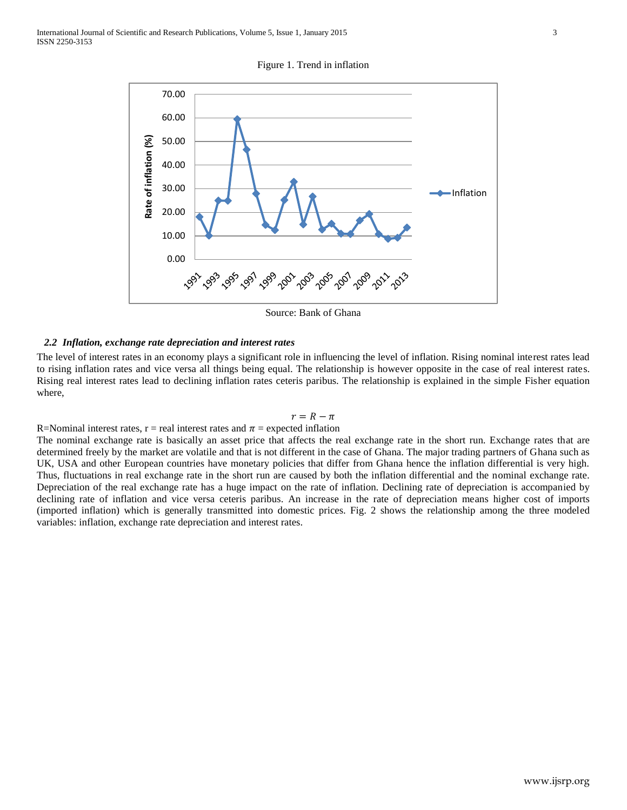Figure 1. Trend in inflation



Source: Bank of Ghana

## *2.2 Inflation, exchange rate depreciation and interest rates*

The level of interest rates in an economy plays a significant role in influencing the level of inflation. Rising nominal interest rates lead to rising inflation rates and vice versa all things being equal. The relationship is however opposite in the case of real interest rates. Rising real interest rates lead to declining inflation rates ceteris paribus. The relationship is explained in the simple Fisher equation where,

# $r = R - \pi$

R=Nominal interest rates, r = real interest rates and  $\pi$  = expected inflation

The nominal exchange rate is basically an asset price that affects the real exchange rate in the short run. Exchange rates that are determined freely by the market are volatile and that is not different in the case of Ghana. The major trading partners of Ghana such as UK, USA and other European countries have monetary policies that differ from Ghana hence the inflation differential is very high. Thus, fluctuations in real exchange rate in the short run are caused by both the inflation differential and the nominal exchange rate. Depreciation of the real exchange rate has a huge impact on the rate of inflation. Declining rate of depreciation is accompanied by declining rate of inflation and vice versa ceteris paribus. An increase in the rate of depreciation means higher cost of imports (imported inflation) which is generally transmitted into domestic prices. Fig. 2 shows the relationship among the three modeled variables: inflation, exchange rate depreciation and interest rates.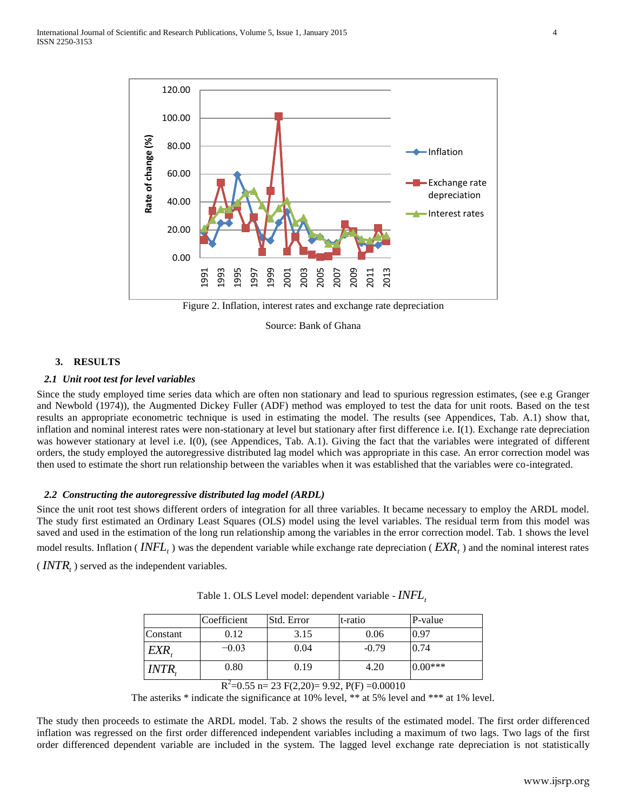

Figure 2. Inflation, interest rates and exchange rate depreciation

Source: Bank of Ghana

# **3. RESULTS**

#### *2.1 Unit root test for level variables*

Since the study employed time series data which are often non stationary and lead to spurious regression estimates, (see e.g Granger and Newbold (1974)), the Augmented Dickey Fuller (ADF) method was employed to test the data for unit roots. Based on the test results an appropriate econometric technique is used in estimating the model. The results (see Appendices, Tab. A.1) show that, inflation and nominal interest rates were non-stationary at level but stationary after first difference i.e. I(1). Exchange rate depreciation was however stationary at level i.e. I(0), (see Appendices, Tab. A.1). Giving the fact that the variables were integrated of different orders, the study employed the autoregressive distributed lag model which was appropriate in this case. An error correction model was then used to estimate the short run relationship between the variables when it was established that the variables were co-integrated.

## *2.2 Constructing the autoregressive distributed lag model (ARDL)*

Since the unit root test shows different orders of integration for all three variables. It became necessary to employ the ARDL model. The study first estimated an Ordinary Least Squares (OLS) model using the level variables. The residual term from this model was saved and used in the estimation of the long run relationship among the variables in the error correction model. Tab. 1 shows the level model results. Inflation ( *t INFL* ) was the dependent variable while exchange rate depreciation ( *EXR<sup>t</sup>* ) and the nominal interest rates

 $\left(NTR_{t}\right)$  served as the independent variables.

|              | Coefficient | Std. Error | t-ratio | P-value   |
|--------------|-------------|------------|---------|-----------|
| Constant     | 0.12        | 3.15       | 0.06    | 0.97      |
| EXR.         | $-0.03$     | 0.04       | $-0.79$ | 0.74      |
| <i>INTR.</i> | 0.80        | 0.19       | 4.20    | $0.00***$ |

Table 1. OLS Level model: dependent variable - *t INFL*

The asteriks \* indicate the significance at 10% level, \*\* at 5% level and \*\*\* at 1% level.

The study then proceeds to estimate the ARDL model. Tab. 2 shows the results of the estimated model. The first order differenced inflation was regressed on the first order differenced independent variables including a maximum of two lags. Two lags of the first order differenced dependent variable are included in the system. The lagged level exchange rate depreciation is not statistically

 $R^2$ =0.55 n= 23 F(2,20)= 9.92, P(F) =0.00010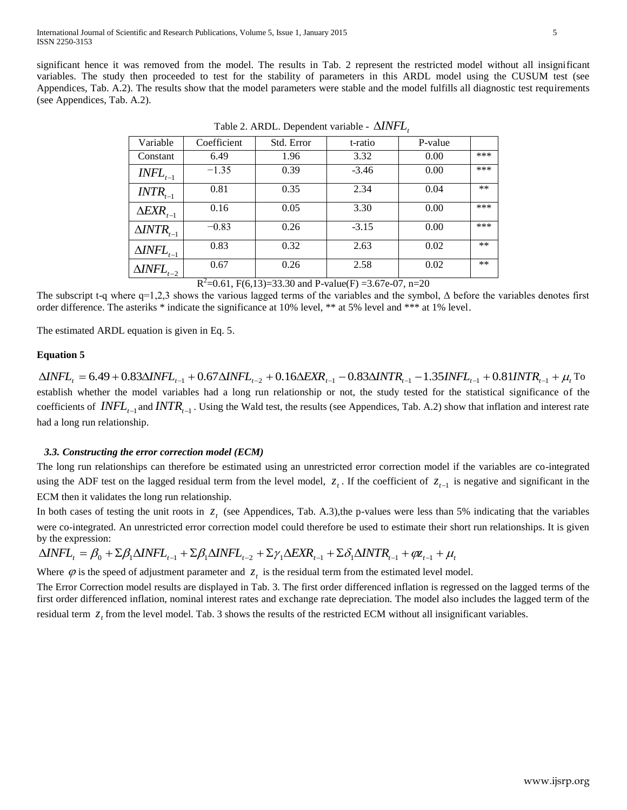significant hence it was removed from the model. The results in Tab. 2 represent the restricted model without all insignificant variables. The study then proceeded to test for the stability of parameters in this ARDL model using the CUSUM test (see Appendices, Tab. A.2). The results show that the model parameters were stable and the model fulfills all diagnostic test requirements (see Appendices, Tab. A.2).

| Variable                                  | Coefficient            | Std. Error | t-ratio | P-value |       |
|-------------------------------------------|------------------------|------------|---------|---------|-------|
| Constant                                  | 6.49                   | 1.96       | 3.32    | 0.00    | ***   |
| $\mathit{INFL}_{t-1}$                     | $-1.35$                | 0.39       | $-3.46$ | 0.00    | ***   |
| $\textit{INTR}_{\scriptscriptstyle{t-1}}$ | 0.81                   | 0.35       | 2.34    | 0.04    | $***$ |
| $\triangle EXR_{t-1}$                     | 0.16                   | 0.05       | 3.30    | 0.00    | ***   |
| $\triangle INTR_{t-1}$                    | $-0.83$                | 0.26       | $-3.15$ | 0.00    | ***   |
| $\Delta INFL_{t-1}$                       | 0.83                   | 0.32       | 2.63    | 0.02    | $***$ |
| $\Delta INFL_{t-2}$                       | 0.67<br>$\overline{ }$ | 0.26       | 2.58    | 0.02    | $***$ |

Table 2. ARDL. Dependent variable -  $\Delta INFL_{t}$ 

 $R^2$ =0.61, F(6,13)=33.30 and P-value(F) =3.67e-07, n=20

The subscript t-q where q=1,2,3 shows the various lagged terms of the variables and the symbol,  $\Delta$  before the variables denotes first order difference. The asteriks \* indicate the significance at 10% level, \*\* at 5% level and \*\*\* at 1% level.

The estimated ARDL equation is given in Eq. 5.

# **Equation 5**

 $\Delta INFL_{t} = 6.49 + 0.83 \Delta INFL_{t-1} + 0.67 \Delta INFL_{t-2} + 0.16 \Delta EXP_{t-1} - 0.83 \Delta INTR_{t-1} - 1.35 INFL_{t-1} + 0.81 INTR_{t-1} + \mu_t$  To establish whether the model variables had a long run relationship or not, the study tested for the statistical significance of the coefficients of  $\text{INFL}_{t-1}$  and  $\text{INTR}_{t-1}$ . Using the Wald test, the results (see Appendices, Tab. A.2) show that inflation and interest rate had a long run relationship.

# *3.3. Constructing the error correction model (ECM)*

The long run relationships can therefore be estimated using an unrestricted error correction model if the variables are co-integrated using the ADF test on the lagged residual term from the level model,  $z_t$ . If the coefficient of  $z_{t-1}$  is negative and significant in the ECM then it validates the long run relationship.

In both cases of testing the unit roots in  $z_t$  (see Appendices, Tab. A.3), the p-values were less than 5% indicating that the variables were co-integrated. An unrestricted error correction model could therefore be used to estimate their short run relationships. It is given by the expression:

$$
\Delta INFL_t = \beta_0 + \Sigma \beta_1 \Delta INFL_{t-1} + \Sigma \beta_1 \Delta INFL_{t-2} + \Sigma \gamma_1 \Delta EXR_{t-1} + \Sigma \delta_1 \Delta INTR_{t-1} + \varnothing \chi_{t-1} + \mu_t
$$

Where  $\varphi$  is the speed of adjustment parameter and  $z_t$  is the residual term from the estimated level model.

The Error Correction model results are displayed in Tab. 3. The first order differenced inflation is regressed on the lagged terms of the first order differenced inflation, nominal interest rates and exchange rate depreciation. The model also includes the lagged term of the residual term  $z<sub>t</sub>$  from the level model. Tab. 3 shows the results of the restricted ECM without all insignificant variables.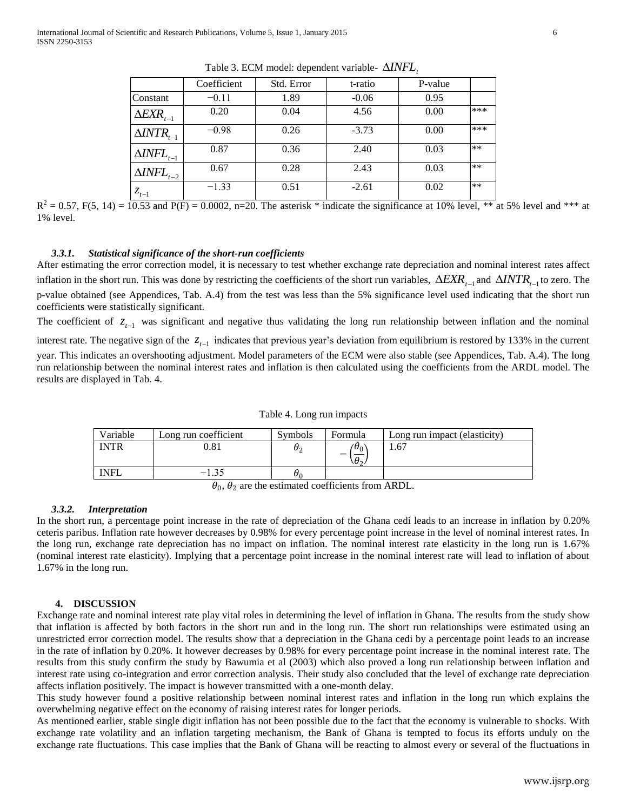|                                     | Coefficient | Std. Error | t-ratio | P-value |       |
|-------------------------------------|-------------|------------|---------|---------|-------|
| Constant                            | $-0.11$     | 1.89       | $-0.06$ | 0.95    |       |
| $\triangle EXR_{t-1}$               | 0.20        | 0.04       | 4.56    | 0.00    | ***   |
| $\triangle INTR_{t-1}$              | $-0.98$     | 0.26       | $-3.73$ | 0.00    | ***   |
| $\Delta \textit{INFL}_{t-1}$        | 0.87        | 0.36       | 2.40    | 0.03    | **    |
| $\Delta\!I\!N\!F\!L_{t-2}$ $\vdash$ | 0.67        | 0.28       | 2.43    | 0.03    | $***$ |
| $z_{t-1}$                           | $-1.33$     | 0.51       | $-2.61$ | 0.02    | $***$ |

Table 3. ECM model: dependent variable-  $\Delta INFL<sub>t</sub>$ 

 $R^2 = 0.57$ , F(5, 14) =  $10.53$  and P(F) = 0.0002, n=20. The asterisk \* indicate the significance at 10% level, \*\* at 5% level and \*\*\* at 1% level.

#### *3.3.1. Statistical significance of the short-run coefficients*

After estimating the error correction model, it is necessary to test whether exchange rate depreciation and nominal interest rates affect inflation in the short run. This was done by restricting the coefficients of the short run variables,  $\Delta EXR_{t-1}$  and  $\Delta INTR_{t-1}$  to zero. The p-value obtained (see Appendices, Tab. A.4) from the test was less than the 5% significance level used indicating that the short run coefficients were statistically significant.

The coefficient of  $z_{t-1}$  was significant and negative thus validating the long run relationship between inflation and the nominal interest rate. The negative sign of the  $z_{t-1}$  indicates that previous year's deviation from equilibrium is restored by 133% in the current year. This indicates an overshooting adjustment. Model parameters of the ECM were also stable (see Appendices, Tab. A.4). The long run relationship between the nominal interest rates and inflation is then calculated using the coefficients from the ARDL model. The results are displayed in Tab. 4.

| Variable                                                        | Long run coefficient | <b>Symbols</b> | Formula           | Long run impact (elasticity) |  |
|-----------------------------------------------------------------|----------------------|----------------|-------------------|------------------------------|--|
| <b>INTR</b>                                                     | ).81                 | υ.             | $\theta_0$<br>۱U, | 1.67                         |  |
| <b>INFL</b>                                                     | $-1.35$              | U٥             |                   |                              |  |
| and the activists of an officiants from ADDI<br>$\sqrt{ }$<br>n |                      |                |                   |                              |  |

Table 4. Long run impacts

 $\theta_0$ ,  $\theta_2$  are the estimated coefficients from ARDL.

#### *3.3.2. Interpretation*

In the short run, a percentage point increase in the rate of depreciation of the Ghana cedi leads to an increase in inflation by 0.20% ceteris paribus. Inflation rate however decreases by 0.98% for every percentage point increase in the level of nominal interest rates. In the long run, exchange rate depreciation has no impact on inflation. The nominal interest rate elasticity in the long run is 1.67% (nominal interest rate elasticity). Implying that a percentage point increase in the nominal interest rate will lead to inflation of about 1.67% in the long run.

#### **4. DISCUSSION**

Exchange rate and nominal interest rate play vital roles in determining the level of inflation in Ghana. The results from the study show that inflation is affected by both factors in the short run and in the long run. The short run relationships were estimated using an unrestricted error correction model. The results show that a depreciation in the Ghana cedi by a percentage point leads to an increase in the rate of inflation by 0.20%. It however decreases by 0.98% for every percentage point increase in the nominal interest rate. The results from this study confirm the study by Bawumia et al (2003) which also proved a long run relationship between inflation and interest rate using co-integration and error correction analysis. Their study also concluded that the level of exchange rate depreciation affects inflation positively. The impact is however transmitted with a one-month delay.

This study however found a positive relationship between nominal interest rates and inflation in the long run which explains the overwhelming negative effect on the economy of raising interest rates for longer periods.

As mentioned earlier, stable single digit inflation has not been possible due to the fact that the economy is vulnerable to shocks. With exchange rate volatility and an inflation targeting mechanism, the Bank of Ghana is tempted to focus its efforts unduly on the exchange rate fluctuations. This case implies that the Bank of Ghana will be reacting to almost every or several of the fluctuations in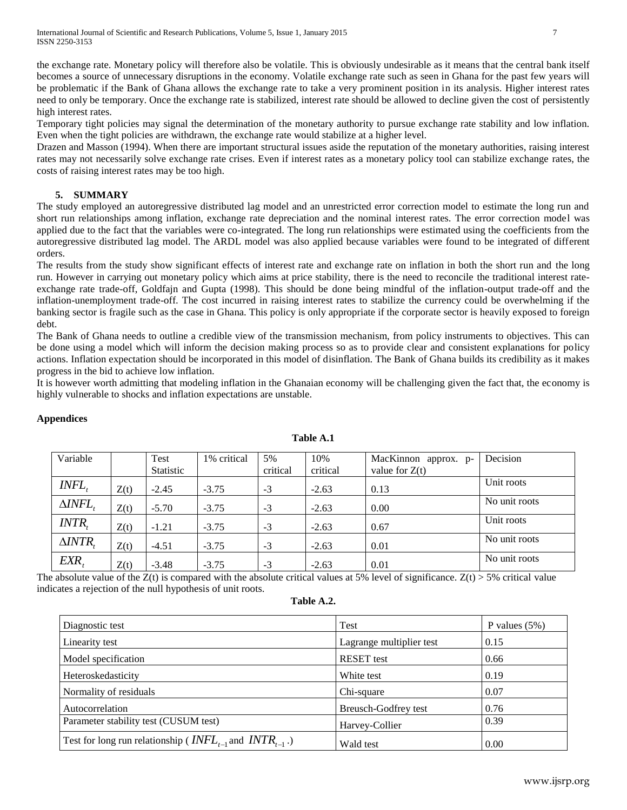the exchange rate. Monetary policy will therefore also be volatile. This is obviously undesirable as it means that the central bank itself becomes a source of unnecessary disruptions in the economy. Volatile exchange rate such as seen in Ghana for the past few years will be problematic if the Bank of Ghana allows the exchange rate to take a very prominent position in its analysis. Higher interest rates need to only be temporary. Once the exchange rate is stabilized, interest rate should be allowed to decline given the cost of persistently high interest rates.

Temporary tight policies may signal the determination of the monetary authority to pursue exchange rate stability and low inflation. Even when the tight policies are withdrawn, the exchange rate would stabilize at a higher level.

Drazen and Masson (1994). When there are important structural issues aside the reputation of the monetary authorities, raising interest rates may not necessarily solve exchange rate crises. Even if interest rates as a monetary policy tool can stabilize exchange rates, the costs of raising interest rates may be too high.

# **5. SUMMARY**

The study employed an autoregressive distributed lag model and an unrestricted error correction model to estimate the long run and short run relationships among inflation, exchange rate depreciation and the nominal interest rates. The error correction model was applied due to the fact that the variables were co-integrated. The long run relationships were estimated using the coefficients from the autoregressive distributed lag model. The ARDL model was also applied because variables were found to be integrated of different orders.

The results from the study show significant effects of interest rate and exchange rate on inflation in both the short run and the long run. However in carrying out monetary policy which aims at price stability, there is the need to reconcile the traditional interest rateexchange rate trade-off, Goldfajn and Gupta (1998). This should be done being mindful of the inflation-output trade-off and the inflation-unemployment trade-off. The cost incurred in raising interest rates to stabilize the currency could be overwhelming if the banking sector is fragile such as the case in Ghana. This policy is only appropriate if the corporate sector is heavily exposed to foreign debt.

The Bank of Ghana needs to outline a credible view of the transmission mechanism, from policy instruments to objectives. This can be done using a model which will inform the decision making process so as to provide clear and consistent explanations for policy actions. Inflation expectation should be incorporated in this model of disinflation. The Bank of Ghana builds its credibility as it makes progress in the bid to achieve low inflation.

It is however worth admitting that modeling inflation in the Ghanaian economy will be challenging given the fact that, the economy is highly vulnerable to shocks and inflation expectations are unstable.

| Variable           |      | Test      | 1% critical | 5%       | 10%      | MacKinnon approx. p- | Decision      |
|--------------------|------|-----------|-------------|----------|----------|----------------------|---------------|
|                    |      | Statistic |             | critical | critical | value for $Z(t)$     |               |
| INFL,              | Z(t) | $-2.45$   | $-3.75$     | $-3$     | $-2.63$  | 0.13                 | Unit roots    |
| $\triangle INFL$ , | Z(t) | $-5.70$   | $-3.75$     | $-3$     | $-2.63$  | 0.00                 | No unit roots |
| <i>INTR</i> .      | Z(t) | $-1.21$   | $-3.75$     | $-3$     | $-2.63$  | 0.67                 | Unit roots    |
| $\triangle INTR$   | Z(t) | $-4.51$   | $-3.75$     | $-3$     | $-2.63$  | 0.01                 | No unit roots |
| EXR,               | Z(t) | $-3.48$   | $-3.75$     | $-3$     | $-2.63$  | 0.01                 | No unit roots |

# **Appendices**

**Table A.1**

The absolute value of the  $Z(t)$  is compared with the absolute critical values at 5% level of significance.  $Z(t) > 5$ % critical value indicates a rejection of the null hypothesis of unit roots.

| Table A.2. |  |
|------------|--|
|------------|--|

| Diagnostic test                                                                             | Test                     | P values $(5\%)$ |
|---------------------------------------------------------------------------------------------|--------------------------|------------------|
| Linearity test                                                                              | Lagrange multiplier test | 0.15             |
| Model specification                                                                         | <b>RESET</b> test        | 0.66             |
| Heteroskedasticity                                                                          | White test               | 0.19             |
| Normality of residuals                                                                      | Chi-square               | 0.07             |
| Autocorrelation                                                                             | Breusch-Godfrey test     | 0.76             |
| Parameter stability test (CUSUM test)                                                       | Harvey-Collier           | 0.39             |
| Test for long run relationship ( <i>INFL<sub>t-1</sub></i> and <i>INTR<sub>t-1</sub></i> .) | Wald test                | 0.00             |